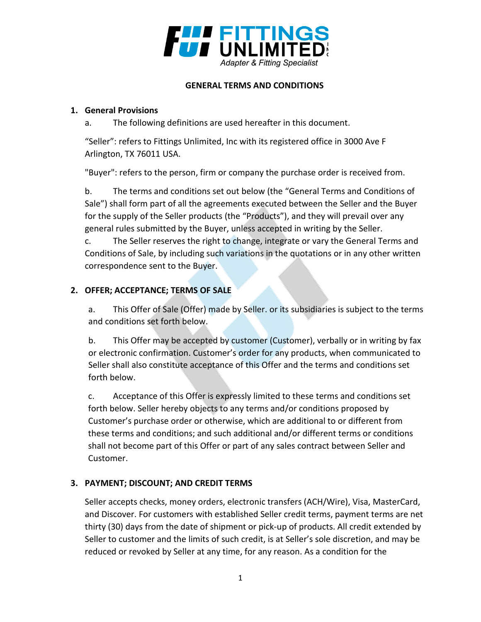

## **GENERAL TERMS AND CONDITIONS**

# **1. General Provisions**

a. The following definitions are used hereafter in this document.

"Seller": refers to Fittings Unlimited, Inc with its registered office in 3000 Ave F Arlington, TX 76011 USA.

"Buyer": refers to the person, firm or company the purchase order is received from.

b. The terms and conditions set out below (the "General Terms and Conditions of Sale") shall form part of all the agreements executed between the Seller and the Buyer for the supply of the Seller products (the "Products"), and they will prevail over any general rules submitted by the Buyer, unless accepted in writing by the Seller.

c. The Seller reserves the right to change, integrate or vary the General Terms and Conditions of Sale, by including such variations in the quotations or in any other written correspondence sent to the Buyer.

# **2. OFFER; ACCEPTANCE; TERMS OF SALE**

a. This Offer of Sale (Offer) made by Seller. or its subsidiaries is subject to the terms and conditions set forth below.

b. This Offer may be accepted by customer (Customer), verbally or in writing by fax or electronic confirmation. Customer's order for any products, when communicated to Seller shall also constitute acceptance of this Offer and the terms and conditions set forth below.

c. Acceptance of this Offer is expressly limited to these terms and conditions set forth below. Seller hereby objects to any terms and/or conditions proposed by Customer's purchase order or otherwise, which are additional to or different from these terms and conditions; and such additional and/or different terms or conditions shall not become part of this Offer or part of any sales contract between Seller and Customer.

# **3. PAYMENT; DISCOUNT; AND CREDIT TERMS**

Seller accepts checks, money orders, electronic transfers (ACH/Wire), Visa, MasterCard, and Discover. For customers with established Seller credit terms, payment terms are net thirty (30) days from the date of shipment or pick-up of products. All credit extended by Seller to customer and the limits of such credit, is at Seller's sole discretion, and may be reduced or revoked by Seller at any time, for any reason. As a condition for the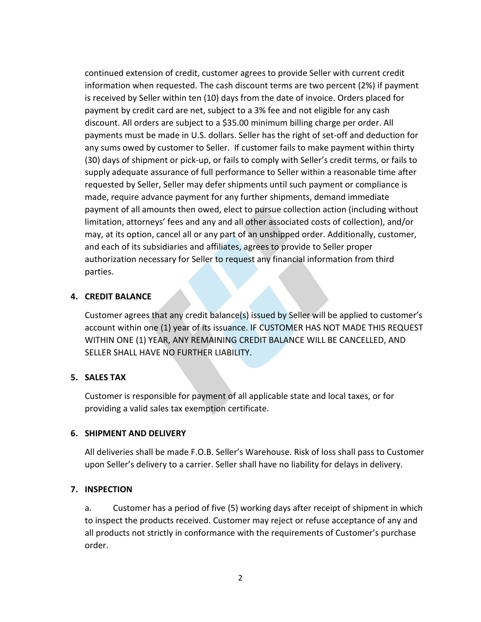continued extension of credit, customer agrees to provide Seller with current credit information when requested. The cash discount terms are two percent (2%) if payment is received by Seller within ten (10) days from the date of invoice. Orders placed for payment by credit card are net, subject to a 3% fee and not eligible for any cash discount. All orders are subject to a \$35.00 minimum billing charge per order. All payments must be made in U.S. dollars. Seller has the right of set-off and deduction for any sums owed by customer to Seller. If customer fails to make payment within thirty (30) days of shipment or pick-up, or fails to comply with Seller's credit terms, or fails to supply adequate assurance of full performance to Seller within a reasonable time after requested by Seller, Seller may defer shipments until such payment or compliance is made, require advance payment for any further shipments, demand immediate payment of all amounts then owed, elect to pursue collection action (including without limitation, attorneys' fees and any and all other associated costs of collection), and/or may, at its option, cancel all or any part of an unshipped order. Additionally, customer, and each of its subsidiaries and affiliates, agrees to provide to Seller proper authorization necessary for Seller to request any financial information from third parties.

## **4. CREDIT BALANCE**

Customer agrees that any credit balance(s) issued by Seller will be applied to customer's account within one (1) year of its issuance. IF CUSTOMER HAS NOT MADE THIS REQUEST WITHIN ONE (1) YEAR, ANY REMAINING CREDIT BALANCE WILL BE CANCELLED, AND SELLER SHALL HAVE NO FURTHER LIABILITY.

# **5. SALES TAX**

Customer is responsible for payment of all applicable state and local taxes, or for providing a valid sales tax exemption certificate.

## **6. SHIPMENT AND DELIVERY**

All deliveries shall be made F.O.B. Seller's Warehouse. Risk of loss shall pass to Customer upon Seller's delivery to a carrier. Seller shall have no liability for delays in delivery.

## **7. INSPECTION**

a. Customer has a period of five (5) working days after receipt of shipment in which to inspect the products received. Customer may reject or refuse acceptance of any and all products not strictly in conformance with the requirements of Customer's purchase order.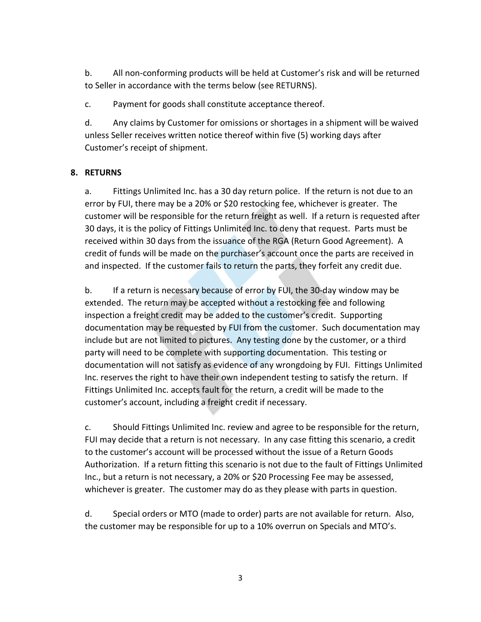b. All non-conforming products will be held at Customer's risk and will be returned to Seller in accordance with the terms below (see RETURNS).

c. Payment for goods shall constitute acceptance thereof.

d. Any claims by Customer for omissions or shortages in a shipment will be waived unless Seller receives written notice thereof within five (5) working days after Customer's receipt of shipment.

# **8. RETURNS**

a. Fittings Unlimited Inc. has a 30 day return police. If the return is not due to an error by FUI, there may be a 20% or \$20 restocking fee, whichever is greater. The customer will be responsible for the return freight as well. If a return is requested after 30 days, it is the policy of Fittings Unlimited Inc. to deny that request. Parts must be received within 30 days from the issuance of the RGA (Return Good Agreement). A credit of funds will be made on the purchaser's account once the parts are received in and inspected. If the customer fails to return the parts, they forfeit any credit due.

b. If a return is necessary because of error by FUI, the 30-day window may be extended. The return may be accepted without a restocking fee and following inspection a freight credit may be added to the customer's credit. Supporting documentation may be requested by FUI from the customer. Such documentation may include but are not limited to pictures. Any testing done by the customer, or a third party will need to be complete with supporting documentation. This testing or documentation will not satisfy as evidence of any wrongdoing by FUI. Fittings Unlimited Inc. reserves the right to have their own independent testing to satisfy the return. If Fittings Unlimited Inc. accepts fault for the return, a credit will be made to the customer's account, including a freight credit if necessary.

c. Should Fittings Unlimited Inc. review and agree to be responsible for the return, FUI may decide that a return is not necessary. In any case fitting this scenario, a credit to the customer's account will be processed without the issue of a Return Goods Authorization. If a return fitting this scenario is not due to the fault of Fittings Unlimited Inc., but a return is not necessary, a 20% or \$20 Processing Fee may be assessed, whichever is greater. The customer may do as they please with parts in question.

d. Special orders or MTO (made to order) parts are not available for return. Also, the customer may be responsible for up to a 10% overrun on Specials and MTO's.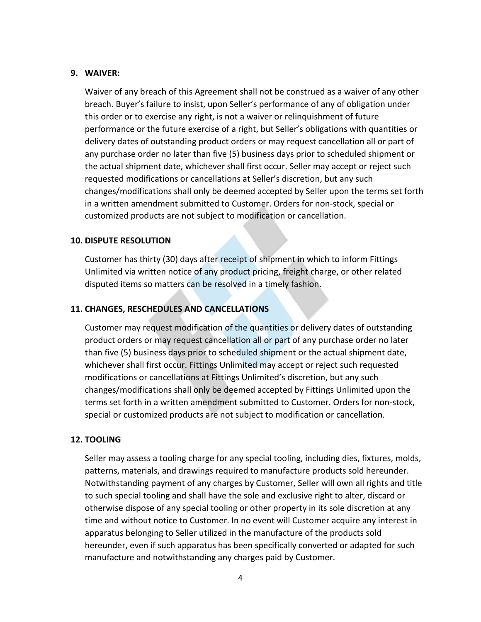## **9. WAIVER:**

Waiver of any breach of this Agreement shall not be construed as a waiver of any other breach. Buyer's failure to insist, upon Seller's performance of any of obligation under this order or to exercise any right, is not a waiver or relinquishment of future performance or the future exercise of a right, but Seller's obligations with quantities or delivery dates of outstanding product orders or may request cancellation all or part of any purchase order no later than five (5) business days prior to scheduled shipment or the actual shipment date, whichever shall first occur. Seller may accept or reject such requested modifications or cancellations at Seller's discretion, but any such changes/modifications shall only be deemed accepted by Seller upon the terms set forth in a written amendment submitted to Customer. Orders for non-stock, special or customized products are not subject to modification or cancellation.

## **10. DISPUTE RESOLUTION**

Customer has thirty (30) days after receipt of shipment in which to inform Fittings Unlimited via written notice of any product pricing, freight charge, or other related disputed items so matters can be resolved in a timely fashion.

# **11. CHANGES, RESCHEDULES AND CANCELLATIONS**

Customer may request modification of the quantities or delivery dates of outstanding product orders or may request cancellation all or part of any purchase order no later than five (5) business days prior to scheduled shipment or the actual shipment date, whichever shall first occur. Fittings Unlimited may accept or reject such requested modifications or cancellations at Fittings Unlimited's discretion, but any such changes/modifications shall only be deemed accepted by Fittings Unlimited upon the terms set forth in a written amendment submitted to Customer. Orders for non-stock, special or customized products are not subject to modification or cancellation.

# **12. TOOLING**

Seller may assess a tooling charge for any special tooling, including dies, fixtures, molds, patterns, materials, and drawings required to manufacture products sold hereunder. Notwithstanding payment of any charges by Customer, Seller will own all rights and title to such special tooling and shall have the sole and exclusive right to alter, discard or otherwise dispose of any special tooling or other property in its sole discretion at any time and without notice to Customer. In no event will Customer acquire any interest in apparatus belonging to Seller utilized in the manufacture of the products sold hereunder, even if such apparatus has been specifically converted or adapted for such manufacture and notwithstanding any charges paid by Customer.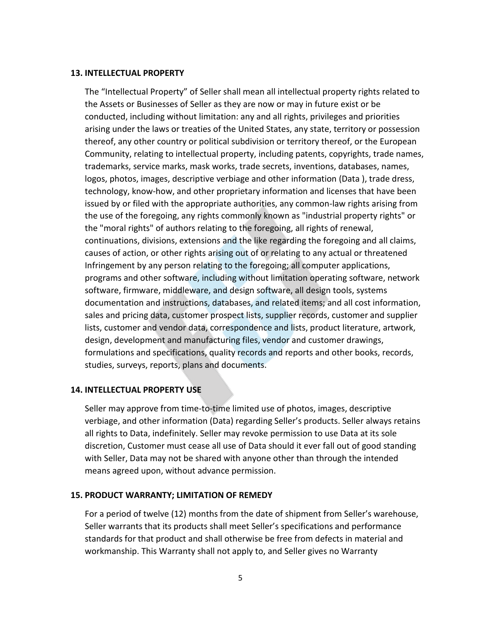## **13. INTELLECTUAL PROPERTY**

The "Intellectual Property" of Seller shall mean all intellectual property rights related to the Assets or Businesses of Seller as they are now or may in future exist or be conducted, including without limitation: any and all rights, privileges and priorities arising under the laws or treaties of the United States, any state, territory or possession thereof, any other country or political subdivision or territory thereof, or the European Community, relating to intellectual property, including patents, copyrights, trade names, trademarks, service marks, mask works, trade secrets, inventions, databases, names, logos, photos, images, descriptive verbiage and other information (Data ), trade dress, technology, know-how, and other proprietary information and licenses that have been issued by or filed with the appropriate authorities, any common-law rights arising from the use of the foregoing, any rights commonly known as "industrial property rights" or the "moral rights" of authors relating to the foregoing, all rights of renewal, continuations, divisions, extensions and the like regarding the foregoing and all claims, causes of action, or other rights arising out of or relating to any actual or threatened Infringement by any person relating to the foregoing; all computer applications, programs and other software, including without limitation operating software, network software, firmware, middleware, and design software, all design tools, systems documentation and instructions, databases, and related items; and all cost information, sales and pricing data, customer prospect lists, supplier records, customer and supplier lists, customer and vendor data, correspondence and lists, product literature, artwork, design, development and manufacturing files, vendor and customer drawings, formulations and specifications, quality records and reports and other books, records, studies, surveys, reports, plans and documents.

## **14. INTELLECTUAL PROPERTY USE**

Seller may approve from time-to-time limited use of photos, images, descriptive verbiage, and other information (Data) regarding Seller's products. Seller always retains all rights to Data, indefinitely. Seller may revoke permission to use Data at its sole discretion, Customer must cease all use of Data should it ever fall out of good standing with Seller, Data may not be shared with anyone other than through the intended means agreed upon, without advance permission.

## **15. PRODUCT WARRANTY; LIMITATION OF REMEDY**

For a period of twelve (12) months from the date of shipment from Seller's warehouse, Seller warrants that its products shall meet Seller's specifications and performance standards for that product and shall otherwise be free from defects in material and workmanship. This Warranty shall not apply to, and Seller gives no Warranty